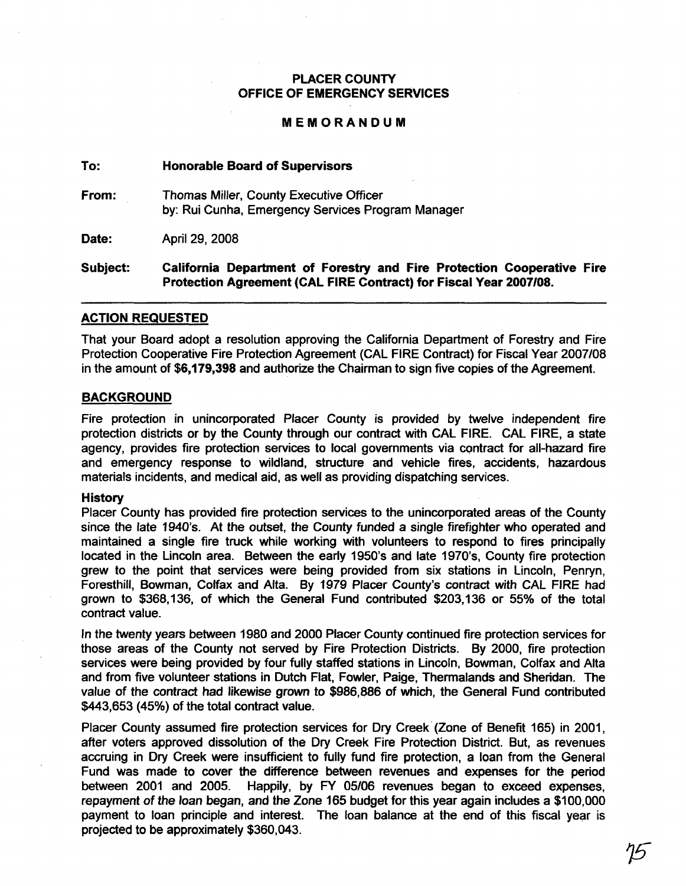### PLACER COUNTY OFFICE OF EMERGENCY SERVICES

#### MEMORANDUM

#### To: Honorable Board of Supervisors

From: Thomas Miller, County Executive Officer by: Rui Cunha, Emergency Services Program Manager

Date: April 29, 2008

Subject: California Department of Forestry and Fire Protection Cooperative Fire Protection Agreement (CAL FIRE Contract) for Fiscal Year 2007108.

#### ACTION REQUESTED

That your Board adopt a resolution approving the California Department of Forestry and Fire Protection Cooperative Fire Protection Agreement (CAL FIRE Contract) for Fiscal Year 2007/08 in the amount of \$6,179,398 and authorize the Chairman to sign five copies of the Agreement.

#### BACKGROUND

Fire protection in unincorporated Placer County is provided by twelve independent fire protection districts or by the County through our contract with CAL FIRE. CAL FIRE, a state agency, provides fire protection services to local governments via contract for all-hazard fire and emergency response to wildland, structure and vehicle fires, accidents, hazardous materials incidents, and medical aid, as well as providing dispatching services.

#### **History**

Placer County has provided fire protection services to the unincorporated areas of the County since the late 1940's. At the outset, the County funded a single firefighter who operated and maintained a single fire truck while working with volunteers to respond to fires principally located in the Lincoln area. Between the early 1950's and late 1970's, County fire protection grew to the point that services were being provided from six stations in Lincoln, Penryn, Foresthill, Bowman, Colfax and Alta. By 1979 Placer County's contract with CAL FIRE had grown to \$368,136, of which the General Fund contributed \$203,136 or 55% of the total contract value.

In the twenty years between 1980 and 2000 Placer County continued fire protection services for those areas of the County not served by Fire Protection Districts. By 2000, fire protection services were being provided by four fully staffed stations in Lincoln, Bowman, Colfax and Alta and from five volunteer stations in Dutch Flat, Fowler, Paige, Thermalands and Sheridan. The value of the contract had likewise grown to \$986,886 of which, the General Fund contributed \$443,653 (45%) of the total contract value.

Placer County assumed fire protection services for Dry Creek (Zone of Benefit 165) in 2001, after voters approved dissolution of the Dry Creek Fire Protection District. But, as revenues accruing in Dry Creek were insufficient to fully fund fire protection, a loan from the General Fund was made to cover the difference between revenues and expenses for the period between 2001 and 2005. Happily, by FY 05/06 revenues began to exceed expenses, repayment of the loan began, and the Zone 165 budget for this year again includes a \$100,000 payment to loan principle and interest. The loan balance at the end of this fiscal year is projected to be approximately \$360,043.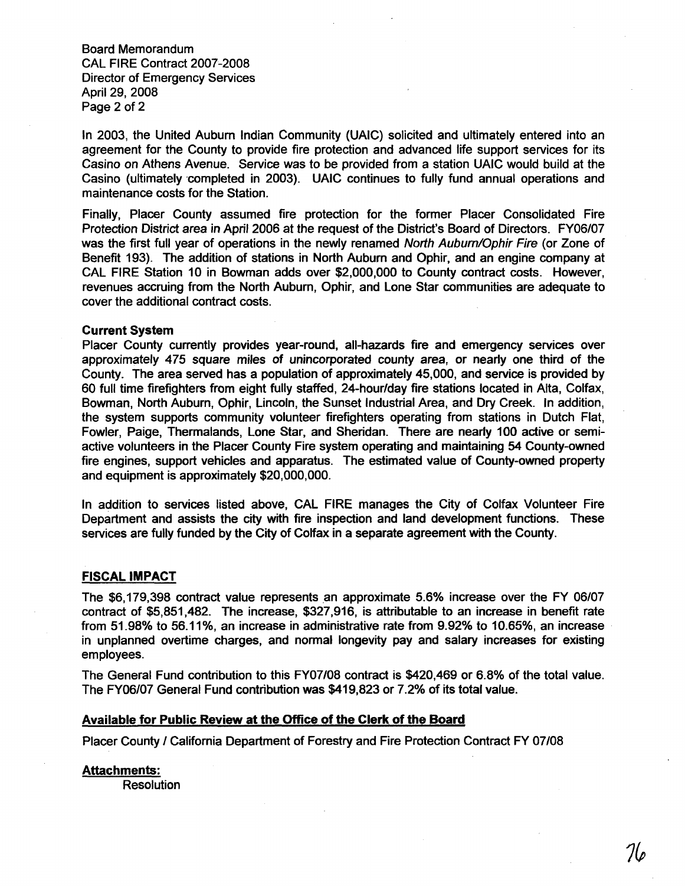Board Memorandum CAL FIRE Contract 2007-2008 Director of Emergency Services April 29, 2008 Page 2 of 2

In 2003, the United Auburn Indian Community (UAIC) solicited and ultimately entered into an agreement for the County to provide fire protection and advanced life support services for its Casino on Athens Avenue. Service was to be provided from a station UAIC would build at the Casino (ultimately 'completed in 2003). UAIC continues to fully fund annual operations and maintenance costs for the Station.

Finally, Placer County assumed fire protection for the former Placer Consolidated Fire Protection District area in April 2006 at the request of the District's Board of Directors. FY06/07 was the first full year of operations in the newly renamed North Auburn/Ophir Fire (or Zone of Benefit 193). The addition of stations in North Auburn and Ophir, and an engine company at CAL FIRE Station 10 in Bowman adds over \$2,000,000 to County contract costs. However, revenues accruing from the North Auburn, Ophir, and Lone Star communities are adequate to cover the additional contract costs.

#### Current System

Placer County currently provides year-round, all-hazards fire and emergency services over approximately 475 square miles of unincorporated county area, or nearly one third of the County. The area served has a popUlation of approximately 45,000, and service is provided by 60 full time firefighters from eight fully staffed, 24-hour/day fire stations located in Alta, Colfax, Bowman, North Auburn, Ophir, Lincoln, the Sunset Industrial Area, and Dry Creek. In addition, the system supports community volunteer firefighters operating from stations in Dutch Flat, Fowler, Paige, Thermalands, Lone Star, and Sheridan. There are nearly 100 active or semiactive volunteers in the Placer County Fire system operating and maintaining 54 County-owned fire engines, support vehicles and apparatus. The estimated value of County-owned property and equipment is approximately \$20,000,000.

In addition to services listed above, CAL FIRE manages the City of Colfax Volunteer Fire Department and assists the city with fire inspection and land development functions. These services are fully funded by the City of Colfax in a separate agreement with the County.

#### FISCAL IMPACT

The \$6,179,398 contract value represents an approximate 5.6% increase over the FY 06/07 contract of \$5,851,482. The increase, \$327,916, is attributable to an increase in benefit rate from 51.98% to 56.11%, an increase in administrative rate from 9.92% to 10.65%, an increase in unplanned overtime charges, and normal longevity pay and salary increases for existing employees.

The General Fund contribution to this FY07108 contract is \$420,469 or 6.8% of the total value. The FY06/07 General Fund contribution was \$419,823 or 7.2% of its total value.

#### Available for Public Review at the Office of the Clerk of the Board

Placer County / California Department of Forestry and Fire Protection Contract FY 07/08

#### Attachments:

Resolution